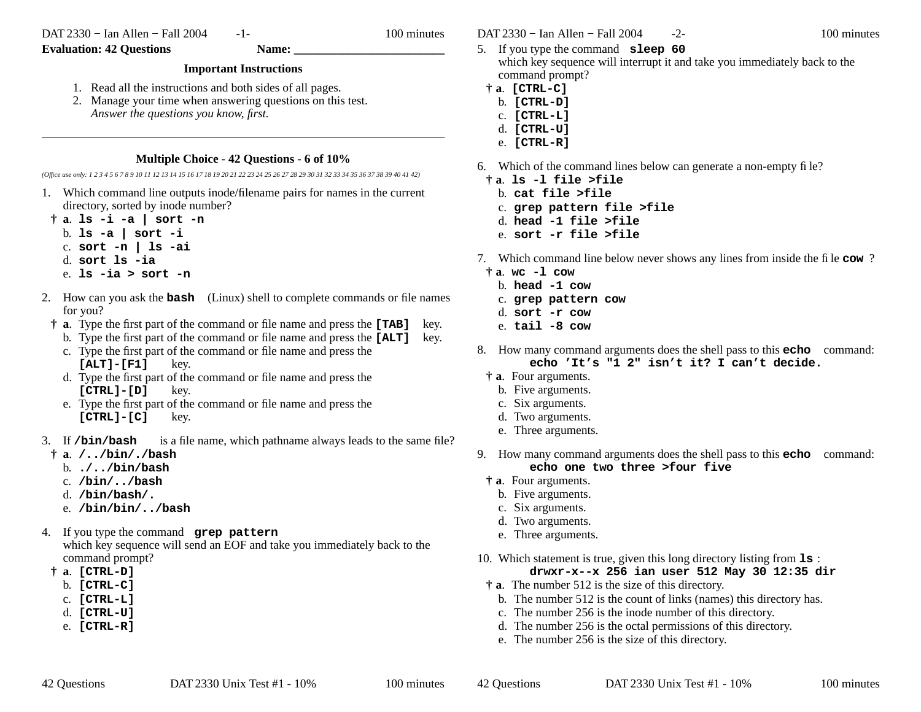DAT 2330 − Ian Allen − Fall 2004

-1- 100 minutes

## **Important Instructions**

- 1. Read all the instructions and both sides of all pages.
- 2. Manage your time when answering questions on this test. *Answer the questions you know, first.*

## **Multiple Choice - 42 Questions - 6 of 10%**

*(Office use only: 1 2 3 4 5 6 7 8 9 10 11 12 13 14 15 16 17 18 19 20 21 22 23 24 25 26 27 28 29 30 31 32 33 34 35 36 37 38 39 40 41 42)*

- 1. Which command line outputs inode/filename pairs for names in the current directory, sorted by inode number?
- **† <sup>a</sup>**. **ls -i -a | sort -n** b. **ls -a | sort -i** c. **sort -n | ls -ai** d. **sort ls -ia**e. **ls -ia > sort -n**
- 2. How can you ask the **bash** (Linux) shell to complete commands or file names for you?
	- **† <sup>a</sup>**. Type the first part of the command or file name and press the **[TAB]** key.
	- b. Type the first part of the command or file name and press the **[ALT]** key. c. Type the first part of the command or file name and press the
	- **[ALT]-[F1]** key.
	- d. Type the first part of the command or file name and press the **[CTRL]-[D]** key.
	- e. Type the first part of the command or file name and press the **[CTRL]-[C]** key.
- 3. Ifis a file name, which pathname always leads to the same file?
- **† <sup>a</sup>**. **/../bin/./bash**
	- b. **./../bin/bash**
	- c. **/bin/../bash**
	- d. **/bin/bash/.**
	- e. **/bin/bin/../bash**
- 4. If you type the command **grep pattern** which key sequence will send an EOF and take you immediately back to the command prompt?
- **† <sup>a</sup>**. **[CTRL-D]**
	- b. **[CTRL-C]**
	- c. **[CTRL-L]**
	- d. **[CTRL-U]**
	- e. **[CTRL-R]**

DAT 2330 − Ian Allen − Fall 2004 -2- 100 minutes

- 5. If you type the command **sleep 60** which key sequence will interrupt it and take you immediately back to the command prompt?
- **† <sup>a</sup>**. **[CTRL-C]**
- b. **[CTRL-D]**
- c. **[CTRL-L]**
- d. **[CTRL-U]**
- e. **[CTRL-R]**
- 6. Which of the command lines below can generate a non-empty file?
- **† <sup>a</sup>**. **ls -l file >file**
	- b. **cat file >file**
	- c. **grep pattern file >file**
	- d. **head -1 file >file**
	- e. **sort -r file >file**
- 7. Which command line below never shows any lines from inside the file **cow**?
	- **† <sup>a</sup>**. **wc -l cow**
		- b. **head -1 cow**
		- c. **grep pattern cow**
		- d. **sort -r cow**
		- e. **tail -8 cow**
- 8. How many command arguments does the shell pass to this **echo** command: **echo 'It's "1 2" isn't it? I can't decide.**
- **† <sup>a</sup>**. Four arguments.
	- b. Five arguments.
	- c. Six arguments.
	- d. Two arguments.
	- e. Three arguments.
- 9. How many command arguments does the shell pass to this **echo** command: **echo one two three >four five**
- **† <sup>a</sup>**. Four arguments.
	- b. Five arguments.
	- c. Six arguments.
	- d. Two arguments.
	- e. Three arguments.
- 10. Which statement is true, given this long directory listing from **ls** : **drwxr-x--x 256 ian user 512 May 30 12:35 dir**
- **† <sup>a</sup>**. The number 512 is the size of this directory.
	- b. The number 512 is the count of links (names) this directory has.
	- c. The number 256 is the inode number of this directory.
	- d. The number 256 is the octal permissions of this directory.
	- e. The number 256 is the size of this directory.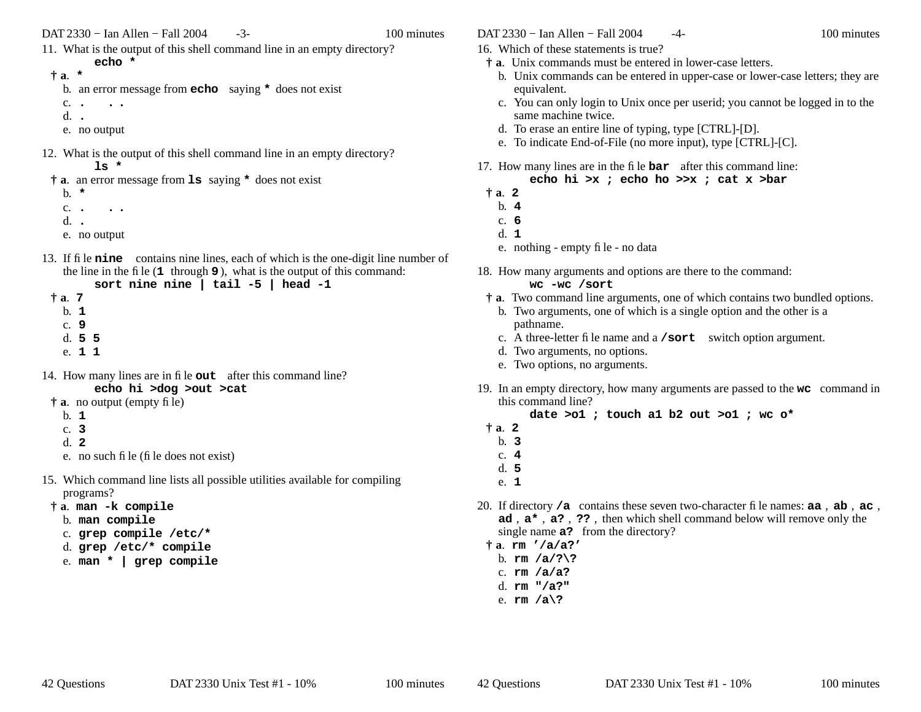DAT 2330 – Ian Allen – Fall 2004 -3- 100 minutes

11. What is the output of this shell command line in an empty directory?

**† <sup>a</sup>**. **\***

- b. an error message from **echo** saying **\*** does not exist
- c. **. . .** d. **.**
- e. no output
- 12. What is the output of this shell command line in an empty directory?
	- **ls \***

**echo \***

- **† <sup>a</sup>**. an error message from **ls** saying **\*** does not exist
	- b. **\***c. **. . .** d. **.**
	- e. no output
- 13. If file **nine** contains nine lines, each of which is the one-digit line number of the line in the file (**<sup>1</sup>** through **9** ), what is the output of this command:

```
sort nine nine | tail -5 | head -1
```
- **† <sup>a</sup>**. **7** b. **1**c. **9**d. **5 5** e. **1 1**
- 14. How many lines are in file **out** after this command line?
- **echo hi >dog >out >cat † <sup>a</sup>**. no output (empty file)
	- b. **1**
	- c. **3**
	- d. **2**
	- e. no such file (file does not exist)
- 15. Which command line lists all possible utilities available for compiling programs?
	- **† <sup>a</sup>**. **man -k compile**
		- b. **man compile**
		- c. **grep compile /etc/\***
		- d. **grep /etc/\* compile**
		- e. **man \* | grep compile**
- DAT 2330 − Ian Allen − Fall 2004 4- 100 minutes
- 16. Which of these statements is true?
- **† <sup>a</sup>**. Unix commands must be entered in lower-case letters.
	- b. Unix commands can be entered in upper-case or lower-case letters; they are equivalent.
	- c. You can only login to Unix once per userid; you cannot be logged in to the same machine twice.
	- d. To erase an entire line of typing, type [CTRL]-[D].
	- e. To indicate End-of-File (no more input), type [CTRL]-[C].
- 17. How many lines are in the file **bar** after this command line: **echo hi >x ; echo ho >>x ; cat x >bar**
- **† <sup>a</sup>**. **2**
	- b. **4**
- c. **6**
- d. **1**
- e. nothing empty file no data
- 18. How many arguments and options are there to the command:

## **wc -wc /sort**

- **† <sup>a</sup>**. Two command line arguments, one of which contains two bundled options.
	- b. Two arguments, one of which is a single option and the other is a pathname.
	- c. A three-letter file name and a **/sort** switch option argument.
	- d. Two arguments, no options.
	- e. Two options, no arguments.
- 19. In an empty directory, how many arguments are passed to the **wc** command in this command line?

**date >o1 ; touch a1 b2 out >o1 ; wc o\***

- $\dot{a}$  **2**
- b. **3**
- c. **4**
- d. **5**
- e. **1**
- 20. If directory **/a** contains these seven two-character file names: **aa** , **ab** , **ac** , **ad** , **<sup>a</sup>\*** , **a?** , **??** , then which shell command below will remove only the single name **a?** from the directory?
- **† <sup>a</sup>**. **rm '/a/a?'**
	- b. **rm /a/?\?**
	- c. **rm /a/a?** d. **rm "/a?"**
- e. **rm /a\?**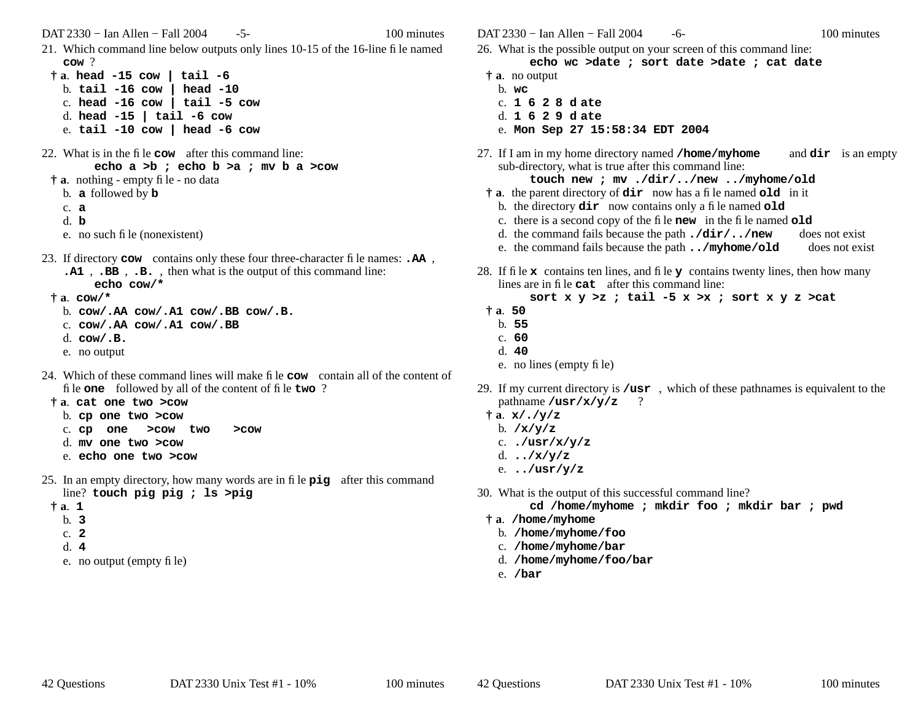DAT 2330 – Ian Allen – Fall 2004 - 5- 100 minutes

21. Which command line below outputs only lines 10-15 of the 16-line file named **cow** ?

**† <sup>a</sup>**. **head -15 cow | tail -6** b. **tail -16 cow | head -10** c. **head -16 cow | tail -5 cow** d. **head -15 | tail -6 cow** e. **tail -10 cow | head -6 cow**

- 22. What is in the file **cow** after this command line: **echo a >b ; echo b >a ; mv b a >cow**
	- **† <sup>a</sup>**. nothing empty file no data
		- b. **a** followed by **b**
		- c. **a**
		- d. **b**
		- e. no such file (nonexistent)
- 23. If directory **cow** contains only these four three-character file names: **.AA** , **.A1** , **.BB** , **.B.** , then what is the output of this command line: **echo cow/\***
	- **† <sup>a</sup>**. **cow/\***
		- b. **cow/.AA cow/.A1 cow/.BB cow/.B.**
		- c. **cow/.AA cow/.A1 cow/.BB**
		- d. **cow/.B.**
		- e. no output
- 24. Which of these command lines will make file **cow** contain all of the content of file **one** followed by all of the content of file **two** ?
- **† <sup>a</sup>**. **cat one two >cow**
	- b. **cp one two >cow**
	- c. **cp one >cow two >cow**
	- d. **mv one two >cow**
	- e. **echo one two >cow**
- 25. In an empty directory, how many words are in file **pig** after this command line? **touch pig pig ; ls >pig**
	- **† <sup>a</sup>**. **1**
		- b. **3**
		- c. **2**
		- d. **4**
		- e. no output (empty file)

DAT 2330 − Ian Allen − Fall 2004 - 6- 100 minutes

- 26. What is the possible output on your screen of this command line:
	- **echo wc >date ; sort date >date ; cat date**
- **† <sup>a</sup>**. no output
- b. **wc**
- c. **162 8 d ate**
- d. **162 9 d ate**
- e. **Mon Sep 27 15:58:34 EDT 2004**
- 27. If I am in my home directory named **/home/myhome** and **dir** is an empty sub-directory, what is true after this command line:

**touch new ; mv ./dir/../new ../myhome/old**

- **† <sup>a</sup>**. the parent directory of **dir** now has a file named **old** in it
	- b. the directory **dir** now contains only a file named **old**
	- c. there is a second copy of the file **new** in the file named **old**
	- d. the command fails because the path **./dir/../new** does not exist
	- e. the command fails because the path **../myhome/old** does not exist
- 28. If file **x** contains ten lines, and file **<sup>y</sup>** contains twenty lines, then how many lines are in file **cat** after this command line:

```
sort x y >z ; tail -5 x >x ; sort x y z >cat
```
- **† <sup>a</sup>**. **50**
	- b. **55**
- c. **60**
- d. **40**
- e. no lines (empty file)
- 29. If my current directory is **/usr** , which of these pathnames is equivalent to the pathname **/usr/x/y/z** ?
	- **† <sup>a</sup>**. **x/./y/z**
		- b. **/x/y/z**
		- c. **./usr/x/y/z**
		- d. **../x/y/z**
		- e. **../usr/y/z**
- 30. What is the output of this successful command line?

**cd /home/myhome ; mkdir foo ; mkdir bar ; pwd**

- **† <sup>a</sup>**. **/home/myhome**
	- b. **/home/myhome/foo**
	- c. **/home/myhome/bar**
	- d. **/home/myhome/foo/bar**
	- e. **/bar**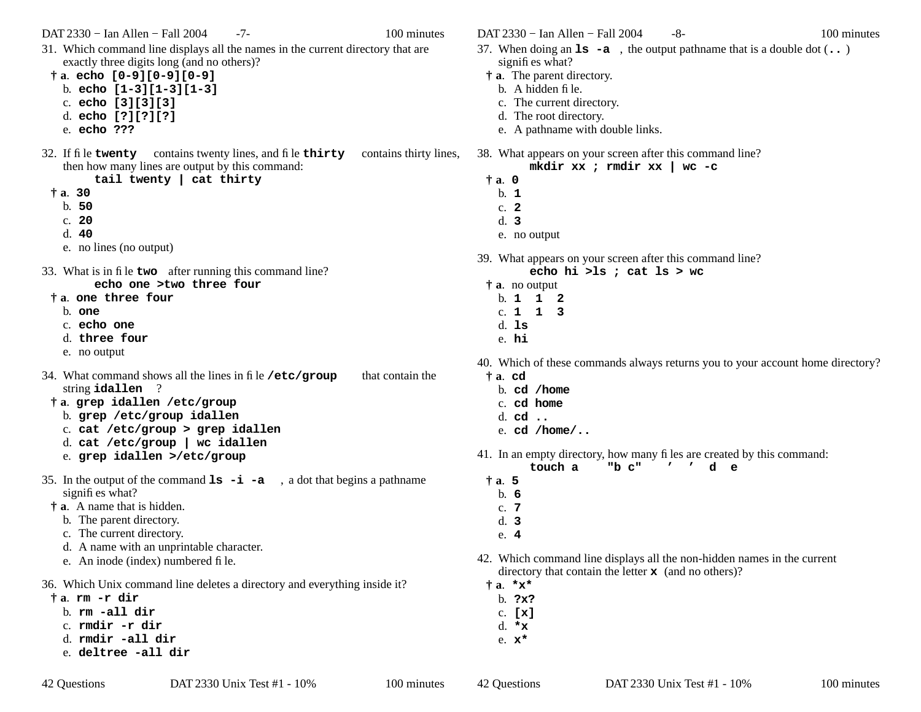DAT 2330 – Ian Allen – Fall 2004 -7- 100 minutes

31. Which command line displays all the names in the current directory that are exactly three digits long (and no others)?

**† <sup>a</sup>**. **echo [0-9][0-9][0-9]**

- b. **echo [1-3][1-3][1-3]**
- c. **echo [3][3][3]**
- d. **echo [?][?][?]**
- e. **echo ???**
- 32. If file **twenty** contains twenty lines, and file **thirty** contains thirty lines, then how many lines are output by this command:

**tail twenty | cat thirty**

- **† <sup>a</sup>**. **30**
	- b. **50**
	- c. **20**
	- d. **40**
	- e. no lines (no output)

33. What is in file **two** after running this command line? **echo one >two three four**

- **† <sup>a</sup>**. **one three four**
	- b. **one**
	- c. **echo one**
	- d. **three four**
	- e. no output
- 34. What command shows all the lines in file **/etc/group** that contain the string **idallen** ?
- **† <sup>a</sup>**. **grep idallen /etc/group**
	- b. **grep /etc/group idallen**
	- c. **cat /etc/group > grep idallen**
	- d. **cat /etc/group | wc idallen**
	- e. **grep idallen >/etc/group**
- 35. In the output of the command **ls -i -a** , <sup>a</sup> dot that begins a pathname signifies what?
- **† <sup>a</sup>**. A name that is hidden.
	- b. The parent directory.
	- c. The current directory.
	- d. A name with an unprintable character.
	- e. An inode (index) numbered file.
- 36. Which Unix command line deletes a directory and everything inside it?
- **† <sup>a</sup>**. **rm -r dir**
	- b. **rm -all dir**
	- c. **rmdir -r dir**
	- d. **rmdir -all dir**
	- e. **deltree -all dir**

DAT 2330 – Ian Allen – Fall 2004 -8- 100 minutes

- 37. When doing an **ls -a** , the output pathname that is a double dot (**..** ) signifies what?
- **† <sup>a</sup>**. The parent directory.
	- b. A hidden file.
	- c. The current directory.
	- d. The root directory.
	- e. A pathname with double links.
- 38. What appears on your screen after this command line?
	- **mkdir xx ; rmdir xx | wc -c † <sup>a</sup>**. **0** b. **1**
		- c. **2**
		- d. **3**
		- e. no output
- 39. What appears on your screen after this command line?
	- **echo hi >ls ; cat ls > wc**
	- **† <sup>a</sup>**. no output
		- b. **112**c. **113**d. **ls**
		- e. **hi**
- 40. Which of these commands always returns you to your account home directory?
- **† <sup>a</sup>**. **cd**
	- b. **cd /home**
	- c. **cd home**
	- d. **cd ..**
	- e. **cd /home/..**
- 41. In an empty directory, how many files are created by this command:

**"b c" ''de**

- **touch a† <sup>a</sup>**. **5**
- b. **6**
- c. **7**
- d. **3**
- e. **4**
- 42. Which command line displays all the non-hidden names in the current directory that contain the letter **<sup>x</sup>** (and no others)?
- **† <sup>a</sup>**. **\*x\***
- b. **?x?**
- c. **[x]**
- d. **\*x**
- e. **x\***